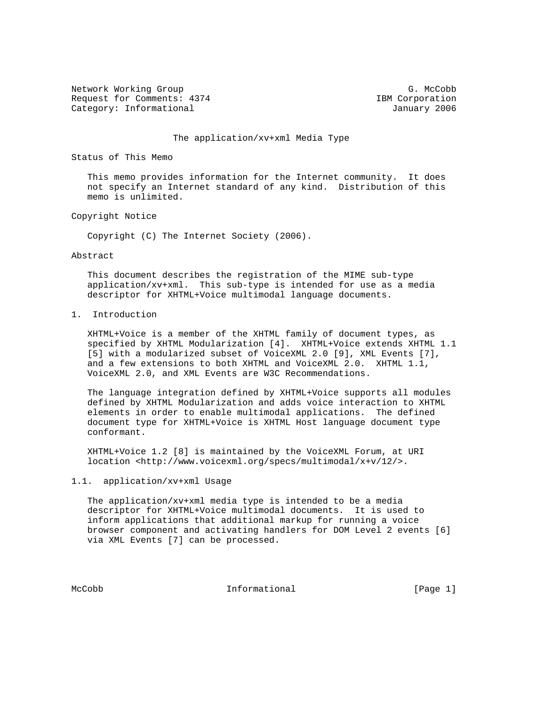Network Working Group G. McCobb G. McCobb Request for Comments: 4374 IBM Corporation Category: Informational and Category: Informational and January 2006

## The application/xv+xml Media Type

Status of This Memo

 This memo provides information for the Internet community. It does not specify an Internet standard of any kind. Distribution of this memo is unlimited.

# Copyright Notice

Copyright (C) The Internet Society (2006).

#### Abstract

 This document describes the registration of the MIME sub-type application/xv+xml. This sub-type is intended for use as a media descriptor for XHTML+Voice multimodal language documents.

1. Introduction

 XHTML+Voice is a member of the XHTML family of document types, as specified by XHTML Modularization [4]. XHTML+Voice extends XHTML 1.1 [5] with a modularized subset of VoiceXML 2.0 [9], XML Events [7], and a few extensions to both XHTML and VoiceXML 2.0. XHTML 1.1, VoiceXML 2.0, and XML Events are W3C Recommendations.

 The language integration defined by XHTML+Voice supports all modules defined by XHTML Modularization and adds voice interaction to XHTML elements in order to enable multimodal applications. The defined document type for XHTML+Voice is XHTML Host language document type conformant.

 XHTML+Voice 1.2 [8] is maintained by the VoiceXML Forum, at URI location <http://www.voicexml.org/specs/multimodal/x+v/12/>.

## 1.1. application/xv+xml Usage

 The application/xv+xml media type is intended to be a media descriptor for XHTML+Voice multimodal documents. It is used to inform applications that additional markup for running a voice browser component and activating handlers for DOM Level 2 events [6] via XML Events [7] can be processed.

McCobb 1nformational [Page 1]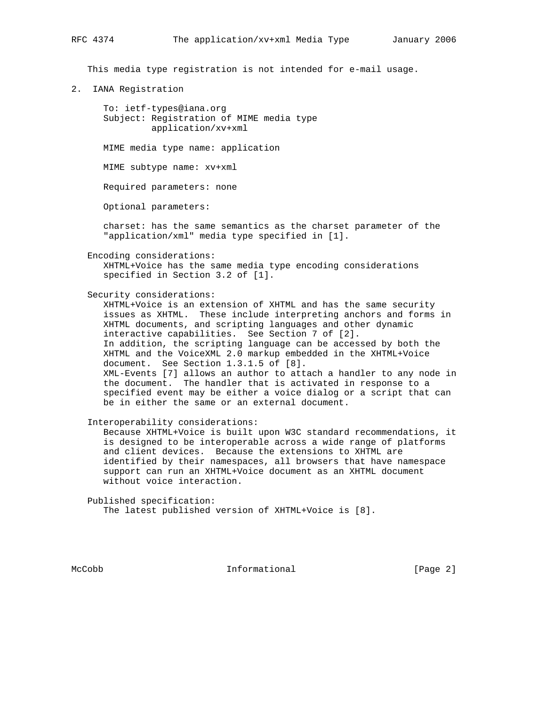This media type registration is not intended for e-mail usage.

2. IANA Registration

 To: ietf-types@iana.org Subject: Registration of MIME media type application/xv+xml

MIME media type name: application

MIME subtype name: xv+xml

Required parameters: none

Optional parameters:

 charset: has the same semantics as the charset parameter of the "application/xml" media type specified in [1].

Encoding considerations:

 XHTML+Voice has the same media type encoding considerations specified in Section 3.2 of [1].

Security considerations:

 XHTML+Voice is an extension of XHTML and has the same security issues as XHTML. These include interpreting anchors and forms in XHTML documents, and scripting languages and other dynamic interactive capabilities. See Section 7 of [2]. In addition, the scripting language can be accessed by both the XHTML and the VoiceXML 2.0 markup embedded in the XHTML+Voice document. See Section 1.3.1.5 of [8]. XML-Events [7] allows an author to attach a handler to any node in the document. The handler that is activated in response to a specified event may be either a voice dialog or a script that can be in either the same or an external document.

Interoperability considerations:

 Because XHTML+Voice is built upon W3C standard recommendations, it is designed to be interoperable across a wide range of platforms and client devices. Because the extensions to XHTML are identified by their namespaces, all browsers that have namespace support can run an XHTML+Voice document as an XHTML document without voice interaction.

 Published specification: The latest published version of XHTML+Voice is [8].

McCobb **Informational Informational** [Page 2]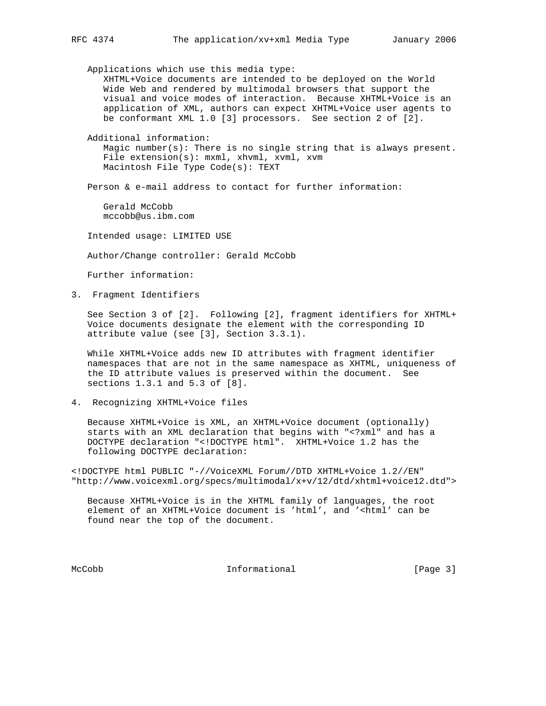Applications which use this media type: XHTML+Voice documents are intended to be deployed on the World Wide Web and rendered by multimodal browsers that support the visual and voice modes of interaction. Because XHTML+Voice is an application of XML, authors can expect XHTML+Voice user agents to be conformant XML 1.0 [3] processors. See section 2 of [2].

 Additional information: Magic number(s): There is no single string that is always present. File extension(s): mxml, xhvml, xvml, xvm Macintosh File Type Code(s): TEXT

Person & e-mail address to contact for further information:

 Gerald McCobb mccobb@us.ibm.com

Intended usage: LIMITED USE

Author/Change controller: Gerald McCobb

Further information:

3. Fragment Identifiers

 See Section 3 of [2]. Following [2], fragment identifiers for XHTML+ Voice documents designate the element with the corresponding ID attribute value (see [3], Section 3.3.1).

 While XHTML+Voice adds new ID attributes with fragment identifier namespaces that are not in the same namespace as XHTML, uniqueness of the ID attribute values is preserved within the document. See sections 1.3.1 and 5.3 of [8].

4. Recognizing XHTML+Voice files

 Because XHTML+Voice is XML, an XHTML+Voice document (optionally) starts with an XML declaration that begins with "<?xml" and has a DOCTYPE declaration "<!DOCTYPE html". XHTML+Voice 1.2 has the following DOCTYPE declaration:

<!DOCTYPE html PUBLIC "-//VoiceXML Forum//DTD XHTML+Voice 1.2//EN" "http://www.voicexml.org/specs/multimodal/x+v/12/dtd/xhtml+voice12.dtd">

 Because XHTML+Voice is in the XHTML family of languages, the root element of an XHTML+Voice document is 'html', and '<html' can be found near the top of the document.

McCobb 1nformational [Page 3]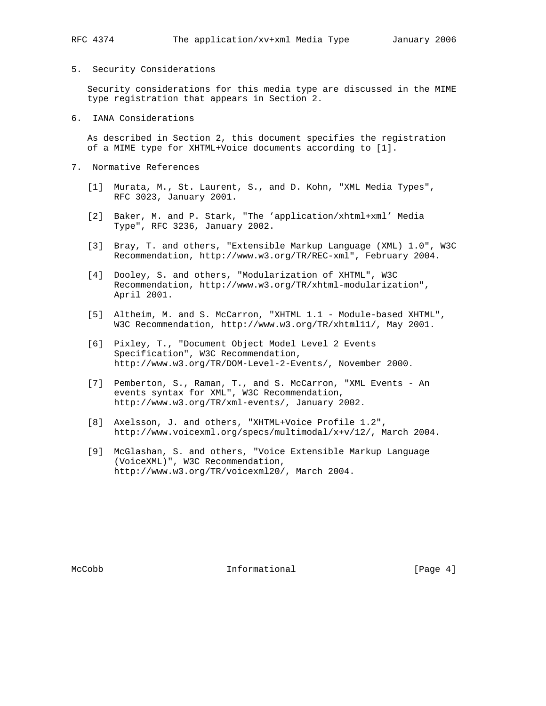# 5. Security Considerations

 Security considerations for this media type are discussed in the MIME type registration that appears in Section 2.

6. IANA Considerations

 As described in Section 2, this document specifies the registration of a MIME type for XHTML+Voice documents according to [1].

- 7. Normative References
	- [1] Murata, M., St. Laurent, S., and D. Kohn, "XML Media Types", RFC 3023, January 2001.
	- [2] Baker, M. and P. Stark, "The 'application/xhtml+xml' Media Type", RFC 3236, January 2002.
	- [3] Bray, T. and others, "Extensible Markup Language (XML) 1.0", W3C Recommendation, http://www.w3.org/TR/REC-xml", February 2004.
	- [4] Dooley, S. and others, "Modularization of XHTML", W3C Recommendation, http://www.w3.org/TR/xhtml-modularization", April 2001.
	- [5] Altheim, M. and S. McCarron, "XHTML 1.1 Module-based XHTML", W3C Recommendation, http://www.w3.org/TR/xhtml11/, May 2001.
	- [6] Pixley, T., "Document Object Model Level 2 Events Specification", W3C Recommendation, http://www.w3.org/TR/DOM-Level-2-Events/, November 2000.
	- [7] Pemberton, S., Raman, T., and S. McCarron, "XML Events An events syntax for XML", W3C Recommendation, http://www.w3.org/TR/xml-events/, January 2002.
	- [8] Axelsson, J. and others, "XHTML+Voice Profile 1.2", http://www.voicexml.org/specs/multimodal/x+v/12/, March 2004.
	- [9] McGlashan, S. and others, "Voice Extensible Markup Language (VoiceXML)", W3C Recommendation, http://www.w3.org/TR/voicexml20/, March 2004.

McCobb 10 Informational 1999 (Page 4)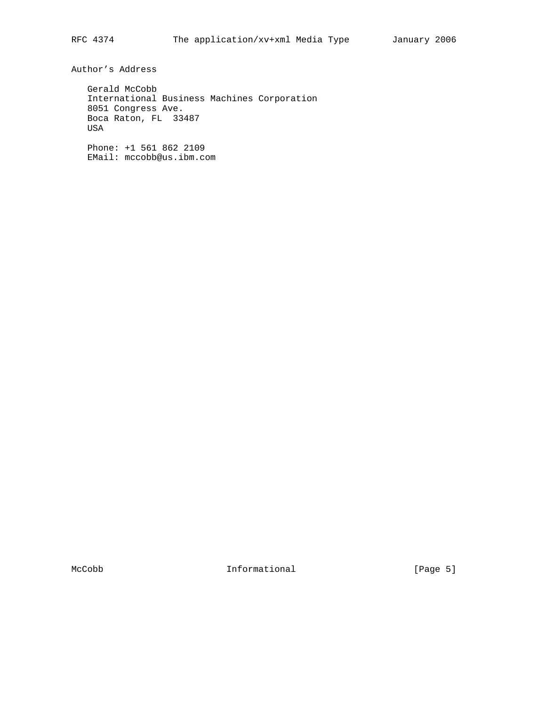Author's Address

 Gerald McCobb International Business Machines Corporation 8051 Congress Ave. Boca Raton, FL 33487 USA

 Phone: +1 561 862 2109 EMail: mccobb@us.ibm.com

McCobb 1nformational [Page 5]